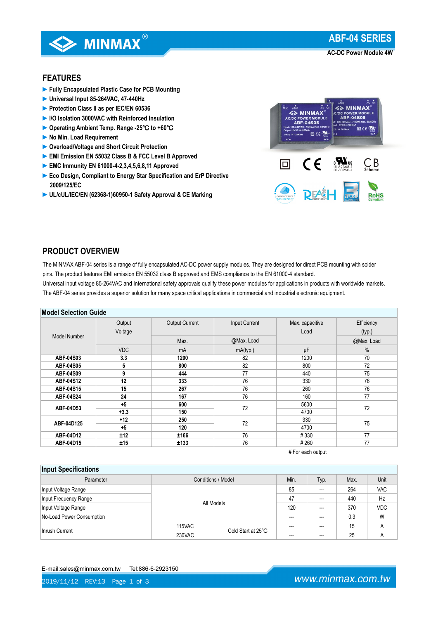

**AC-DC Power Module 4W**

# **FEATURES**

- **►Fully Encapsulated Plastic Case for PCB Mounting**
- **►Universal Input 85-264VAC, 47-440Hz**
- **►Protection Class II as per IEC/EN 60536**
- **►I/O Isolation 3000VAC with Reinforced Insulation**
- **►Operating Ambient Temp. Range -25**℃ **to +60**℃
- **►No Min. Load Requirement**
- **►Overload/Voltage and Short Circuit Protection**
- **►EMI Emission EN 55032 Class B & FCC Level B Approved**
- **►EMC Immunity EN 61000-4-2,3,4,5,6,8,11 Approved**
- **►Eco Design, Compliant to Energy Star Specification and ErP Directive 2009/125/EC**
- **►UL/cUL/IEC/EN (62368-1)60950-1 Safety Approval & CE Marking**



## **PRODUCT OVERVIEW**

The MINMAX ABF-04 series is a range of fully encapsulated AC-DC power supply modules. They are designed for direct PCB mounting with solder pins. The product features EMI emission EN 55032 class B approved and EMS compliance to the EN 61000-4 standard.

Universal input voltage 85-264VAC and International safety approvals qualify these power modules for applications in products with worldwide markets. The ABF-04 series provides a superior solution for many space critical applications in commercial and industrial electronic equipment.

|  | <b>Model Selection Guide</b> |  |
|--|------------------------------|--|
|--|------------------------------|--|

| INIUUTI JEIELIIUII UUIUE |            |                                        |            |                 |            |  |
|--------------------------|------------|----------------------------------------|------------|-----------------|------------|--|
|                          | Output     | <b>Output Current</b><br>Input Current |            | Max. capacitive | Efficiency |  |
| <b>Model Number</b>      | Voltage    |                                        |            | Load            | (typ.)     |  |
|                          |            | Max.                                   | @Max. Load |                 | @Max. Load |  |
|                          | <b>VDC</b> | mA                                     | mA(typ.)   | μF              | $\%$       |  |
| ABF-04S03                | 3.3        | 1200                                   | 82         | 1200            | 70         |  |
| ABF-04S05                | 5          | 800                                    | 82         | 800             | 72         |  |
| ABF-04S09                | 9          | 444                                    | 77         | 440             | 75         |  |
| ABF-04S12                | 12         | 333                                    | 76         | 330             | 76         |  |
| ABF-04S15                | 15         | 267                                    | 76         | 260             | 76         |  |
| ABF-04S24                | 24         | 167                                    | 76         | 160             | 77         |  |
| ABF-04D53                | $+5$       | 600                                    | 72         | 5600            | 72         |  |
|                          | $+3.3$     | 150                                    |            | 4700            |            |  |
| ABF-04D125               | $+12$      | 250                                    | 72         | 330             | 75         |  |
|                          | $+5$       | 120                                    |            | 4700            |            |  |
| ABF-04D12                | ±12        | ±166                                   | 76         | #330            | 77         |  |
| ABF-04D15                | ±15        | ±133                                   | 76         | #260            | 77         |  |

# For each output

#### **Input Specifications**

| <b>HINAL ANAAHIAMMAD</b>  |                              |      |         |      |            |            |
|---------------------------|------------------------------|------|---------|------|------------|------------|
| Parameter                 | Conditions / Model           | Min. | Typ.    | Max. | Unit       |            |
| Input Voltage Range       |                              | 85   | ---     | 264  | <b>VAC</b> |            |
| Input Frequency Range     | All Models                   |      | 47      | ---  | 440        | Hz         |
| Input Voltage Range       |                              |      | 120     | ---  | 370        | <b>VDC</b> |
| No-Load Power Consumption |                              |      |         | 0.3  | W          |            |
|                           | 115VAC                       |      | $- - -$ | ---  | 15         | A          |
| Inrush Current            | Cold Start at 25°C<br>230VAC |      | ---     |      | 25         | A          |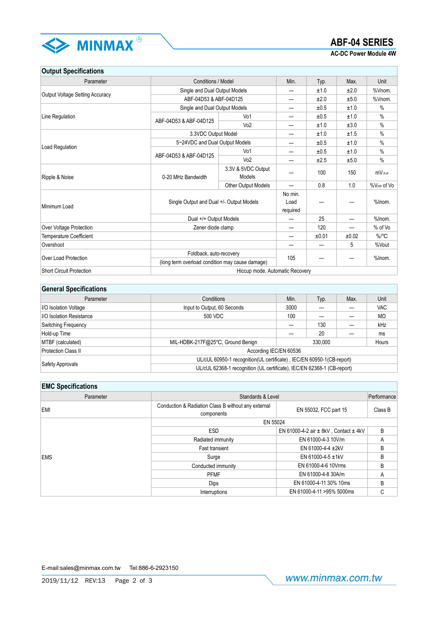

**AC-DC Power Module 4W**

**Output Specifications**

| Parameter                              | Conditions / Model                              |                                 | Min.     | Typ.  | Max.  | <b>Unit</b>            |
|----------------------------------------|-------------------------------------------------|---------------------------------|----------|-------|-------|------------------------|
|                                        | Single and Dual Output Models                   |                                 | ---      | ±1.0  | ±2.0  | %Vnom.                 |
| <b>Output Voltage Setting Accuracy</b> | ABF-04D53 & ABF-04D125                          |                                 | ---      | ±2.0  | ±5.0  | %Vnom.                 |
|                                        | Single and Dual Output Models                   |                                 | ---      | ±0.5  | ±1.0  | $\%$                   |
| Line Regulation                        | ABF-04D53 & ABF-04D125                          | Vo1                             | ---      | ±0.5  | ±1.0  | $\frac{0}{0}$          |
|                                        |                                                 | Vo2                             | ---      | ±1.0  | ±3.0  | $\frac{0}{0}$          |
|                                        | 3.3VDC Output Model                             |                                 | ---      | ±1.0  | ±1.5  | $\%$                   |
| Load Regulation                        | 5~24VDC and Dual Output Models                  |                                 | ---      | ±0.5  | ±1.0  | $\%$                   |
|                                        | ABF-04D53 & ABF-04D125                          | Vo1                             | ---      | ±0.5  | ±1.0  | $\%$                   |
|                                        |                                                 | Vo2                             | ---      | ±2.5  | ±5.0  | $\%$                   |
|                                        | 0-20 MHz Bandwidth                              | 3.3V & 5VDC Output              | ---      | 100   | 150   | $mV_{P-P}$             |
| Ripple & Noise                         |                                                 | Models                          |          |       |       |                        |
|                                        | Other Output Models                             |                                 | ---      | 0.8   | 1.0   | %V <sub>PP</sub> of Vo |
|                                        | Single Output and Dual +/- Output Models        |                                 | No min.  |       |       |                        |
| Minimum Load                           |                                                 |                                 | Load     |       | ---   | %Inom.                 |
|                                        |                                                 |                                 | required |       |       |                        |
|                                        | Dual +/+ Output Models                          |                                 | ---      | 25    | ---   | %Inom.                 |
| Over Voltage Protection                | Zener diode clamp                               |                                 | ---      | 120   | ---   | % of Vo                |
| <b>Temperature Coefficient</b>         |                                                 |                                 | ---      | ±0.01 | ±0.02 | $\%$ <sup>°</sup> C    |
| Overshoot                              |                                                 |                                 | ---      | ---   | 5     | %Vout                  |
|                                        | Foldback, auto-recovery                         |                                 |          |       |       | %Inom.                 |
| Over Load Protection                   | (long term overload condition may cause damage) |                                 | 105      |       |       |                        |
| <b>Short Circuit Protection</b>        |                                                 | Hiccup mode, Automatic Recovery |          |       |       |                        |

| <b>General Specifications</b>   |                                                                         |                  |                  |      |            |
|---------------------------------|-------------------------------------------------------------------------|------------------|------------------|------|------------|
| Parameter                       | Conditions                                                              | Min.             | Typ.             | Max. | Unit       |
| <b>I/O Isolation Voltage</b>    | Input to Output, 60 Seconds                                             | 3000             |                  | ---  | <b>VAC</b> |
| <b>I/O Isolation Resistance</b> | 500 VDC                                                                 | 100              | MΩ<br>---<br>--- |      |            |
| <b>Switching Frequency</b>      |                                                                         | ---              | 130              | ---  | kHz        |
| Hold-up Time                    |                                                                         |                  | 20               | ---  | ms         |
| MTBF (calculated)               | MIL-HDBK-217F@25°C, Ground Benign                                       | 330.000<br>Hours |                  |      |            |
| Protection Class II             | According IEC/EN 60536                                                  |                  |                  |      |            |
| Safety Approvals                | UL/cUL 60950-1 recognition(UL certificate), IEC/EN 60950-1(CB-report)   |                  |                  |      |            |
|                                 | UL/cUL 62368-1 recognition (UL certificate), IEC/EN 62368-1 (CB-report) |                  |                  |      |            |

#### **EMC Specifications**

| Parameter  |                                                                   | Standards & Level<br>Performance              |         |  |  |  |
|------------|-------------------------------------------------------------------|-----------------------------------------------|---------|--|--|--|
| <b>EMI</b> | Conduction & Radiation Class B without any external<br>components | EN 55032, FCC part 15                         | Class B |  |  |  |
|            | EN 55024                                                          |                                               |         |  |  |  |
| <b>EMS</b> | <b>ESD</b>                                                        | EN 61000-4-2 air $\pm$ 8kV, Contact $\pm$ 4kV | B       |  |  |  |
|            | Radiated immunity                                                 | EN 61000-4-3 10V/m                            | A       |  |  |  |
|            | <b>Fast transient</b>                                             | EN 61000-4-4 ±2kV                             | B       |  |  |  |
|            | Surge                                                             | EN 61000-4-5 ±1kV                             | B       |  |  |  |
|            | Conducted immunity                                                | EN 61000-4-6 10Vrms                           | B       |  |  |  |
|            | <b>PFMF</b>                                                       | EN 61000-4-8 30A/m                            | A       |  |  |  |
|            | <b>Dips</b>                                                       | EN 61000-4-11 30% 10ms                        | B       |  |  |  |
|            | Interruptions                                                     | EN 61000-4-11 >95% 5000ms                     | С       |  |  |  |